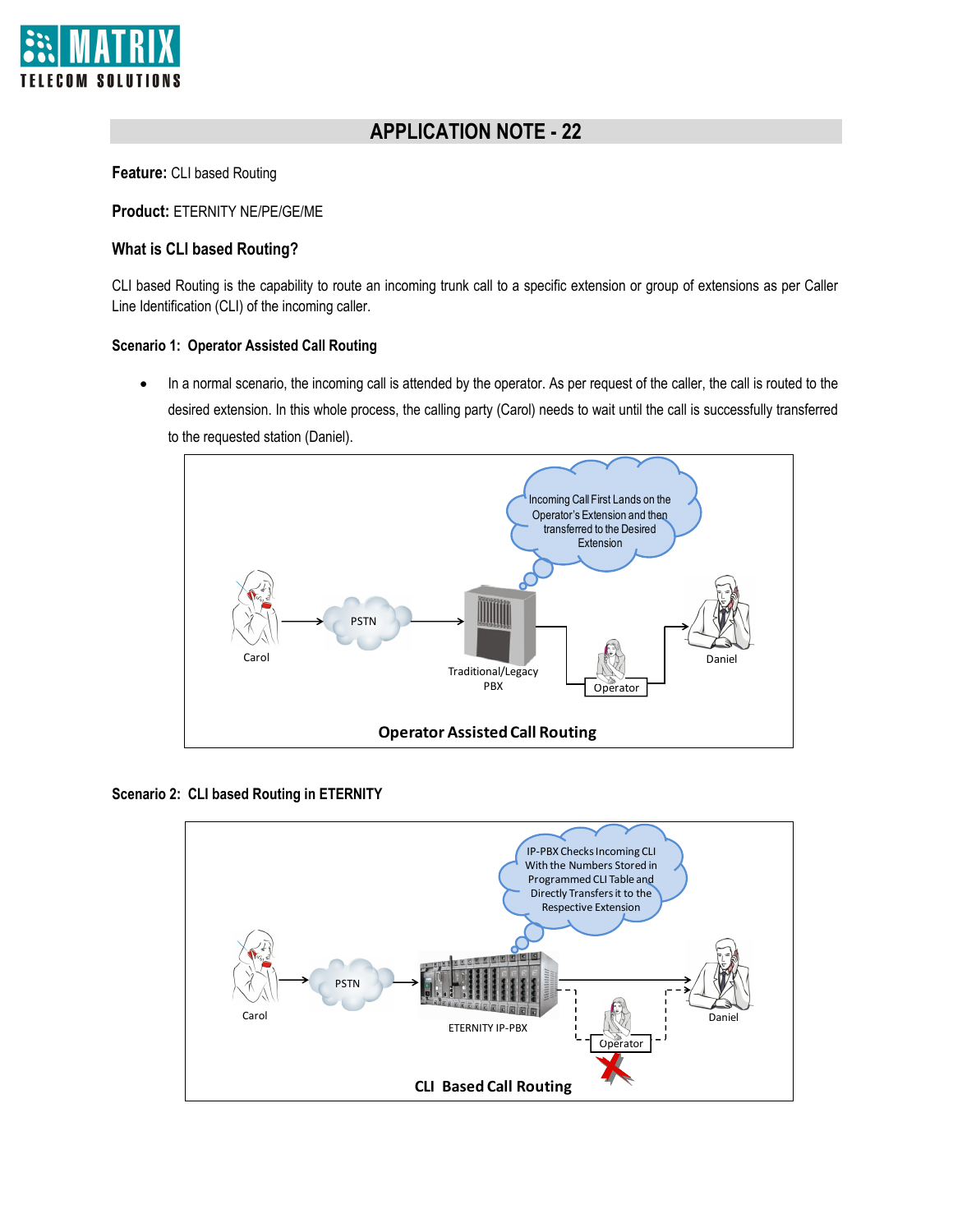

# **APPLICATION NOTE - 22**

**Feature:** CLI based Routing

**Product:** ETERNITY NE/PE/GE/ME

### **What is CLI based Routing?**

CLI based Routing is the capability to route an incoming trunk call to a specific extension or group of extensions as per Caller Line Identification (CLI) of the incoming caller.

#### **Scenario 1: Operator Assisted Call Routing**

• In a normal scenario, the incoming call is attended by the operator. As per request of the caller, the call is routed to the desired extension. In this whole process, the calling party (Carol) needs to wait until the call is successfully transferred to the requested station (Daniel).



**Scenario 2: CLI based Routing in ETERNITY**